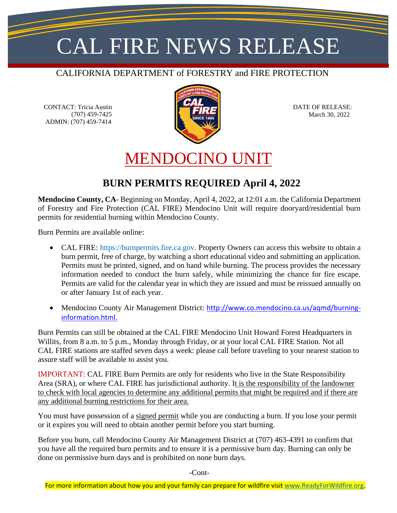## CAL FIRE NEWS RELEASE

#### CALIFORNIA DEPARTMENT of FORESTRY and FIRE PROTECTION

CONTACT: Tricia Austin (707) 459-7425 ADMIN: (707) 459-7414



 DATE OF RELEASE: March 30, 2022

### MENDOCINO UNIT

#### **BURN PERMITS REQUIRED April 4, 2022**

**Mendocino County, CA-** Beginning on Monday, April 4, 2022, at 12:01 a.m. the California Department of Forestry and Fire Protection (CAL FIRE) Mendocino Unit will require dooryard/residential burn permits for residential burning within Mendocino County.

Burn Permits are available online:

- CAL FIRE: [https://burnpermits.fire.ca.gov.](https://burnpermits.fire.ca.gov/) Property Owners can access this website to obtain a burn permit, free of charge, by watching a short educational video and submitting an application. Permits must be printed, signed, and on hand while burning. The process provides the necessary information needed to conduct the burn safely, while minimizing the chance for fire escape. Permits are valid for the calendar year in which they are issued and must be reissued annually on or after January 1st of each year.
- Mendocino County Air Management District: [http://www.co.mendocino.ca.us/aqmd/burning](http://www.co.mendocino.ca.us/aqmd/burning-information.html)[information.html.](http://www.co.mendocino.ca.us/aqmd/burning-information.html)

Burn Permits can still be obtained at the CAL FIRE Mendocino Unit Howard Forest Headquarters in Willits, from 8 a.m. to 5 p.m., Monday through Friday, or at your local CAL FIRE Station. Not all CAL FIRE stations are staffed seven days a week: please call before traveling to your nearest station to assure staff will be available to assist you.

IMPORTANT: CAL FIRE Burn Permits are only for residents who live in the State Responsibility Area (SRA), or where CAL FIRE has jurisdictional authority. It is the responsibility of the landowner to check with local agencies to determine any additional permits that might be required and if there are any additional burning restrictions for their area.

You must have possession of a signed permit while you are conducting a burn. If you lose your permit or it expires you will need to obtain another permit before you start burning.

Before you burn, call Mendocino County Air Management District at (707) 463-4391 to confirm that you have all the required burn permits and to ensure it is a permissive burn day. Burning can only be done on permissive burn days and is prohibited on none burn days.

-Cont-